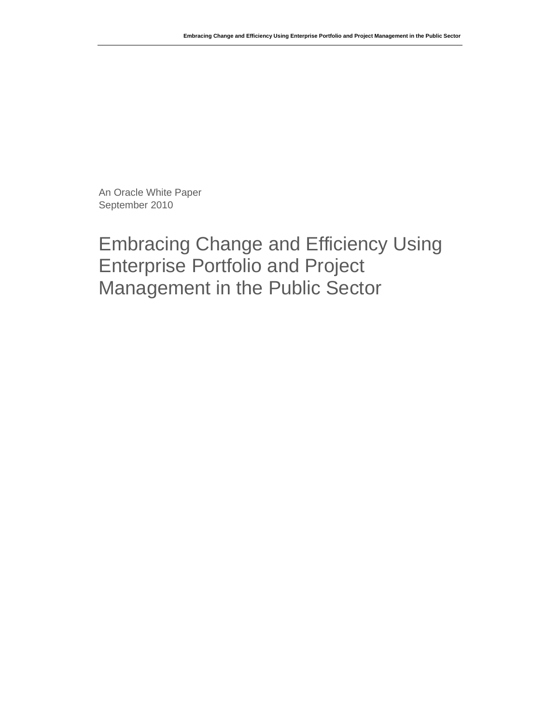An Oracle White Paper September 2010

# Embracing Change and Efficiency Using Enterprise Portfolio and Project Management in the Public Sector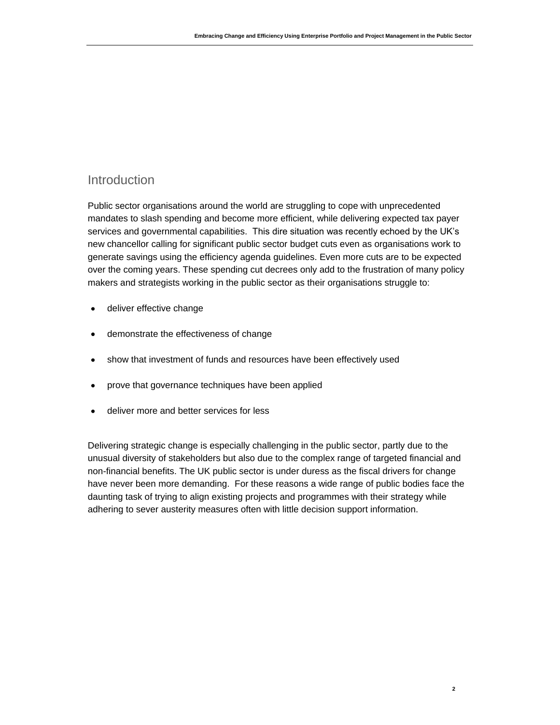### Introduction

Public sector organisations around the world are struggling to cope with unprecedented mandates to slash spending and become more efficient, while delivering expected tax payer services and governmental capabilities. This dire situation was recently echoed by the UK's new chancellor calling for significant public sector budget cuts even as organisations work to generate savings using the efficiency agenda guidelines. Even more cuts are to be expected over the coming years. These spending cut decrees only add to the frustration of many policy makers and strategists working in the public sector as their organisations struggle to:

- deliver effective change
- demonstrate the effectiveness of change
- show that investment of funds and resources have been effectively used
- prove that governance techniques have been applied
- deliver more and better services for less

Delivering strategic change is especially challenging in the public sector, partly due to the unusual diversity of stakeholders but also due to the complex range of targeted financial and non-financial benefits. The UK public sector is under duress as the fiscal drivers for change have never been more demanding. For these reasons a wide range of public bodies face the daunting task of trying to align existing projects and programmes with their strategy while adhering to sever austerity measures often with little decision support information.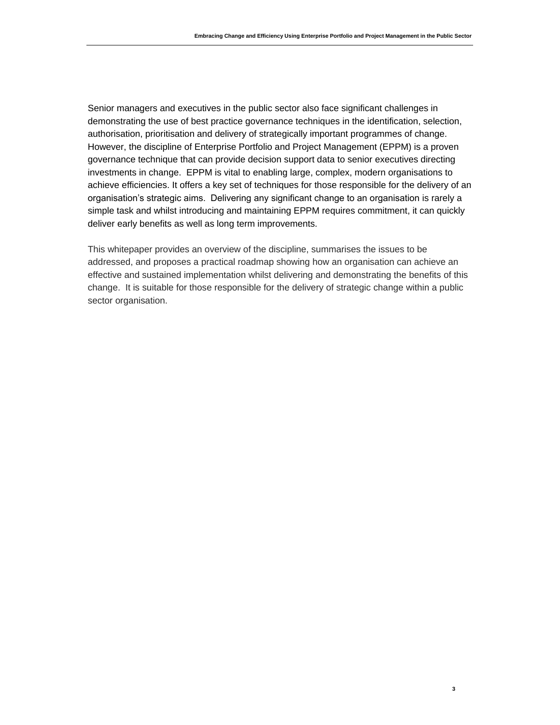**3**

Senior managers and executives in the public sector also face significant challenges in demonstrating the use of best practice governance techniques in the identification, selection, authorisation, prioritisation and delivery of strategically important programmes of change. However, the discipline of Enterprise Portfolio and Project Management (EPPM) is a proven governance technique that can provide decision support data to senior executives directing investments in change. EPPM is vital to enabling large, complex, modern organisations to achieve efficiencies. It offers a key set of techniques for those responsible for the delivery of an organisation's strategic aims. Delivering any significant change to an organisation is rarely a simple task and whilst introducing and maintaining EPPM requires commitment, it can quickly deliver early benefits as well as long term improvements.

This whitepaper provides an overview of the discipline, summarises the issues to be addressed, and proposes a practical roadmap showing how an organisation can achieve an effective and sustained implementation whilst delivering and demonstrating the benefits of this change. It is suitable for those responsible for the delivery of strategic change within a public sector organisation.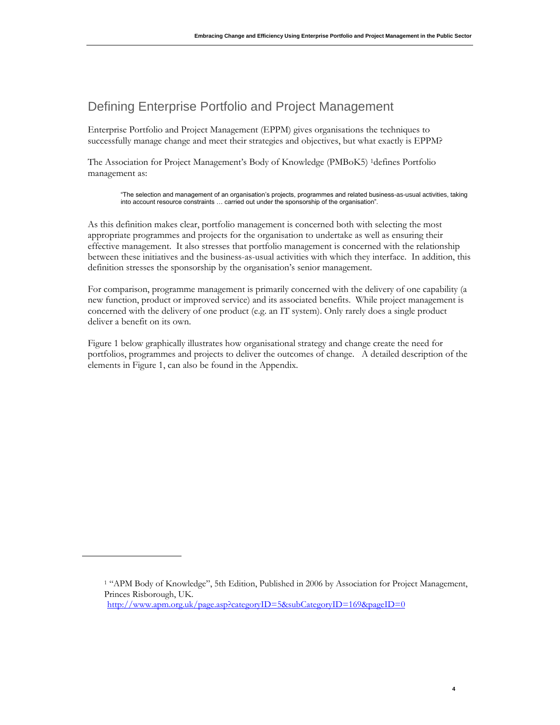### Defining Enterprise Portfolio and Project Management

Enterprise Portfolio and Project Management (EPPM) gives organisations the techniques to successfully manage change and meet their strategies and objectives, but what exactly is EPPM?

The Association for Project Management's Body of Knowledge (PMBoK5) <sup>1</sup>defines Portfolio management as:

"The selection and management of an organisation's projects, programmes and related business-as-usual activities, taking into account resource constraints … carried out under the sponsorship of the organisation".

As this definition makes clear, portfolio management is concerned both with selecting the most appropriate programmes and projects for the organisation to undertake as well as ensuring their effective management. It also stresses that portfolio management is concerned with the relationship between these initiatives and the business-as-usual activities with which they interface. In addition, this definition stresses the sponsorship by the organisation's senior management.

For comparison, programme management is primarily concerned with the delivery of one capability (a new function, product or improved service) and its associated benefits. While project management is concerned with the delivery of one product (e.g. an IT system). Only rarely does a single product deliver a benefit on its own.

Figure 1 below graphically illustrates how organisational strategy and change create the need for portfolios, programmes and projects to deliver the outcomes of change. A detailed description of the elements in Figure 1, can also be found in the Appendix.

**4**

<sup>1</sup> "APM Body of Knowledge", 5th Edition, Published in 2006 by Association for Project Management, Princes Risborough, UK.

<http://www.apm.org.uk/page.asp?categoryID=5&subCategoryID=169&pageID=0>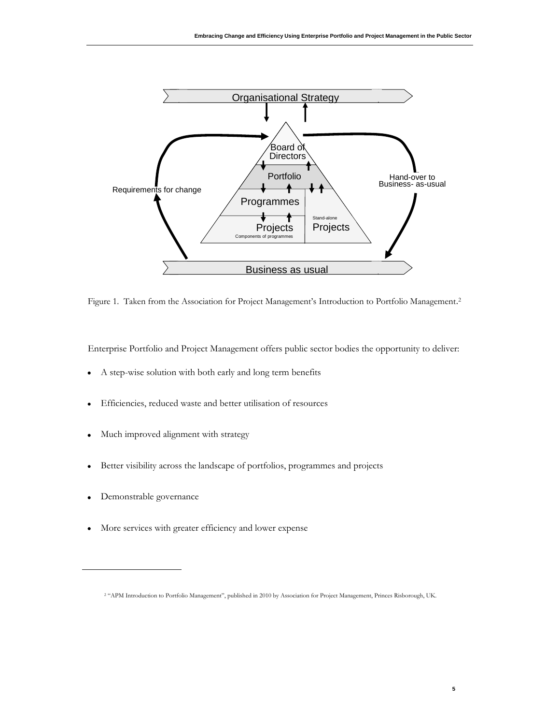

Figure 1. Taken from the Association for Project Management's Introduction to Portfolio Management.<sup>2</sup>

Enterprise Portfolio and Project Management offers public sector bodies the opportunity to deliver:

- A step-wise solution with both early and long term benefits  $\bullet$
- Efficiencies, reduced waste and better utilisation of resources  $\bullet$
- Much improved alignment with strategy  $\bullet$
- Better visibility across the landscape of portfolios, programmes and projects  $\bullet$
- Demonstrable governance  $\bullet$
- More services with greater efficiency and lower expense

<sup>2</sup> "APM Introduction to Portfolio Management", published in 2010 by Association for Project Management, Princes Risborough, UK.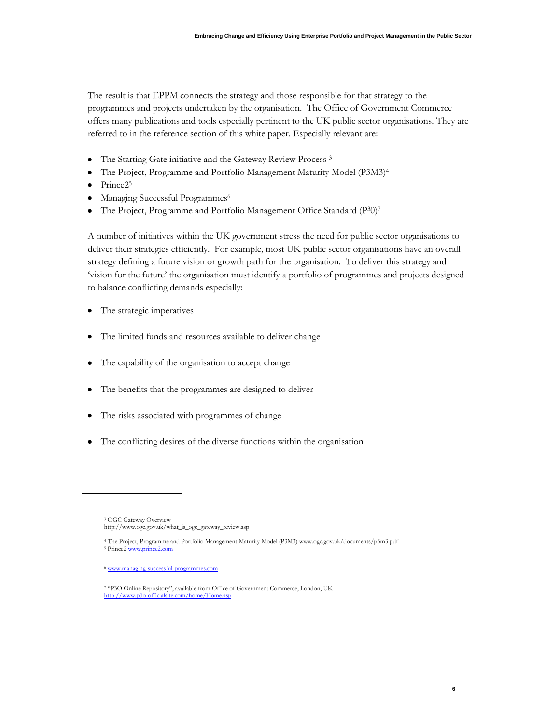The result is that EPPM connects the strategy and those responsible for that strategy to the programmes and projects undertaken by the organisation. The Office of Government Commerce offers many publications and tools especially pertinent to the UK public sector organisations. They are referred to in the reference section of this white paper. Especially relevant are:

- $\bullet$ The Starting Gate initiative and the Gateway Review Process <sup>3</sup>
- The Project, Programme and Portfolio Management Maturity Model (P3M3)<sup>4</sup>
- $\bullet$ Prince<sub>25</sub>
- Managing Successful Programmes<sup>6</sup>
- The Project, Programme and Portfolio Management Office Standard (P30)<sup>7</sup>  $\bullet$

A number of initiatives within the UK government stress the need for public sector organisations to deliver their strategies efficiently. For example, most UK public sector organisations have an overall strategy defining a future vision or growth path for the organisation. To deliver this strategy and "vision for the future" the organisation must identify a portfolio of programmes and projects designed to balance conflicting demands especially:

- The strategic imperatives  $\bullet$
- $\bullet$ The limited funds and resources available to deliver change
- The capability of the organisation to accept change
- $\bullet$ The benefits that the programmes are designed to deliver
- The risks associated with programmes of change  $\bullet$
- The conflicting desires of the diverse functions within the organisation

**6**

<sup>3</sup> OGC Gateway Overview [http://www.ogc.gov.uk/what\\_is\\_ogc\\_gateway\\_review.asp](http://www.ogc.gov.uk/what_is_ogc_gateway_review.asp)

<sup>4</sup> The Project, Programme and Portfolio Management Maturity Model (P3M3) www.ogc.gov.uk/documents/p3m3.pdf <sup>5</sup> Prince[2 www.prince2.com](http://www.prince2.com/)

<sup>6</sup> [www.managing-successful-programmes.com](http://www.managing-successful-programmes.com/)

<sup>7</sup> "P3O Online Repository", available from Office of Government Commerce, London, UK <http://www.p3o-officialsite.com/home/Home.asp>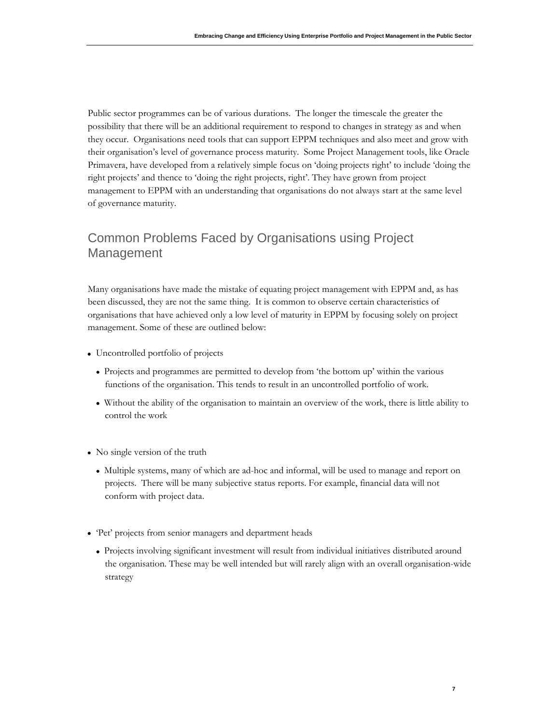Public sector programmes can be of various durations. The longer the timescale the greater the possibility that there will be an additional requirement to respond to changes in strategy as and when they occur. Organisations need tools that can support EPPM techniques and also meet and grow with their organisation"s level of governance process maturity. Some Project Management tools, like Oracle Primavera, have developed from a relatively simple focus on "doing projects right" to include "doing the right projects' and thence to 'doing the right projects, right'. They have grown from project management to EPPM with an understanding that organisations do not always start at the same level of governance maturity.

### Common Problems Faced by Organisations using Project Management

Many organisations have made the mistake of equating project management with EPPM and, as has been discussed, they are not the same thing. It is common to observe certain characteristics of organisations that have achieved only a low level of maturity in EPPM by focusing solely on project management. Some of these are outlined below:

- Uncontrolled portfolio of projects
	- Projects and programmes are permitted to develop from "the bottom up" within the various functions of the organisation. This tends to result in an uncontrolled portfolio of work.
	- Without the ability of the organisation to maintain an overview of the work, there is little ability to control the work
- No single version of the truth
	- Multiple systems, many of which are ad-hoc and informal, will be used to manage and report on projects. There will be many subjective status reports. For example, financial data will not conform with project data.
- "Pet" projects from senior managers and department heads
	- Projects involving significant investment will result from individual initiatives distributed around the organisation. These may be well intended but will rarely align with an overall organisation-wide strategy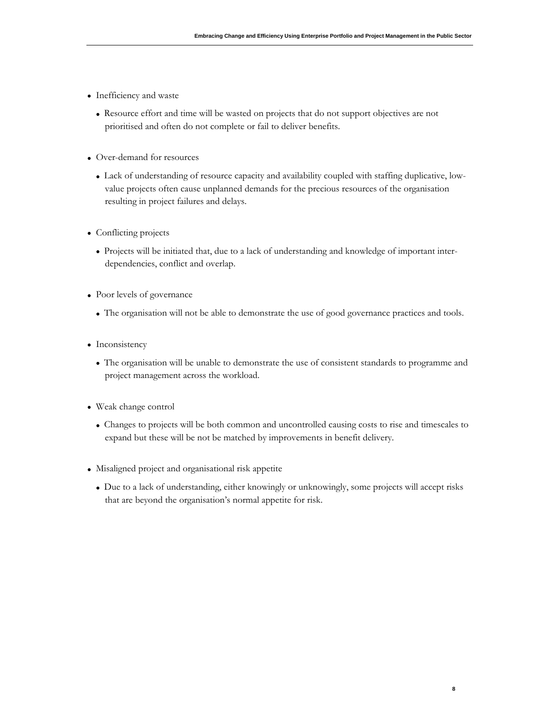- Inefficiency and waste
	- Resource effort and time will be wasted on projects that do not support objectives are not prioritised and often do not complete or fail to deliver benefits.
- Over-demand for resources
	- Lack of understanding of resource capacity and availability coupled with staffing duplicative, lowvalue projects often cause unplanned demands for the precious resources of the organisation resulting in project failures and delays.
- Conflicting projects
	- Projects will be initiated that, due to a lack of understanding and knowledge of important interdependencies, conflict and overlap.
- Poor levels of governance
	- The organisation will not be able to demonstrate the use of good governance practices and tools.
- Inconsistency
	- The organisation will be unable to demonstrate the use of consistent standards to programme and project management across the workload.
- Weak change control
	- Changes to projects will be both common and uncontrolled causing costs to rise and timescales to expand but these will be not be matched by improvements in benefit delivery.
- Misaligned project and organisational risk appetite
	- Due to a lack of understanding, either knowingly or unknowingly, some projects will accept risks that are beyond the organisation"s normal appetite for risk.

**8**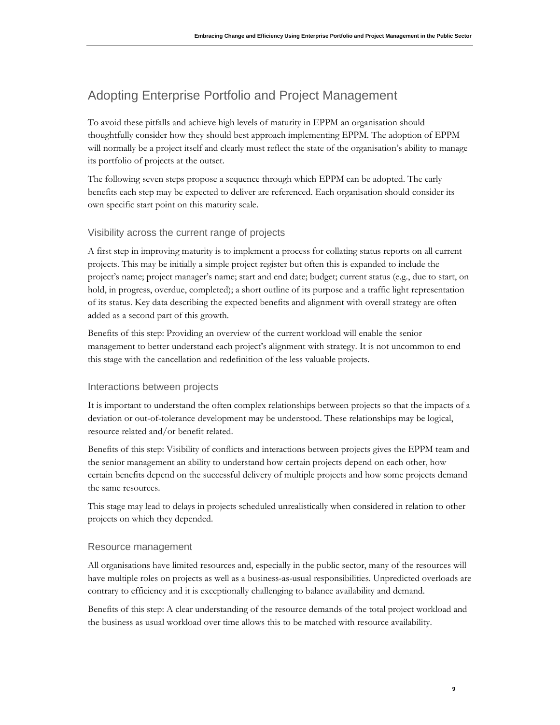## Adopting Enterprise Portfolio and Project Management

To avoid these pitfalls and achieve high levels of maturity in EPPM an organisation should thoughtfully consider how they should best approach implementing EPPM. The adoption of EPPM will normally be a project itself and clearly must reflect the state of the organisation's ability to manage its portfolio of projects at the outset.

The following seven steps propose a sequence through which EPPM can be adopted. The early benefits each step may be expected to deliver are referenced. Each organisation should consider its own specific start point on this maturity scale.

### Visibility across the current range of projects

A first step in improving maturity is to implement a process for collating status reports on all current projects. This may be initially a simple project register but often this is expanded to include the project's name; project manager's name; start and end date; budget; current status (e.g., due to start, on hold, in progress, overdue, completed); a short outline of its purpose and a traffic light representation of its status. Key data describing the expected benefits and alignment with overall strategy are often added as a second part of this growth.

Benefits of this step: Providing an overview of the current workload will enable the senior management to better understand each project's alignment with strategy. It is not uncommon to end this stage with the cancellation and redefinition of the less valuable projects.

#### Interactions between projects

It is important to understand the often complex relationships between projects so that the impacts of a deviation or out-of-tolerance development may be understood. These relationships may be logical, resource related and/or benefit related.

Benefits of this step: Visibility of conflicts and interactions between projects gives the EPPM team and the senior management an ability to understand how certain projects depend on each other, how certain benefits depend on the successful delivery of multiple projects and how some projects demand the same resources.

This stage may lead to delays in projects scheduled unrealistically when considered in relation to other projects on which they depended.

#### Resource management

All organisations have limited resources and, especially in the public sector, many of the resources will have multiple roles on projects as well as a business-as-usual responsibilities. Unpredicted overloads are contrary to efficiency and it is exceptionally challenging to balance availability and demand.

Benefits of this step: A clear understanding of the resource demands of the total project workload and the business as usual workload over time allows this to be matched with resource availability.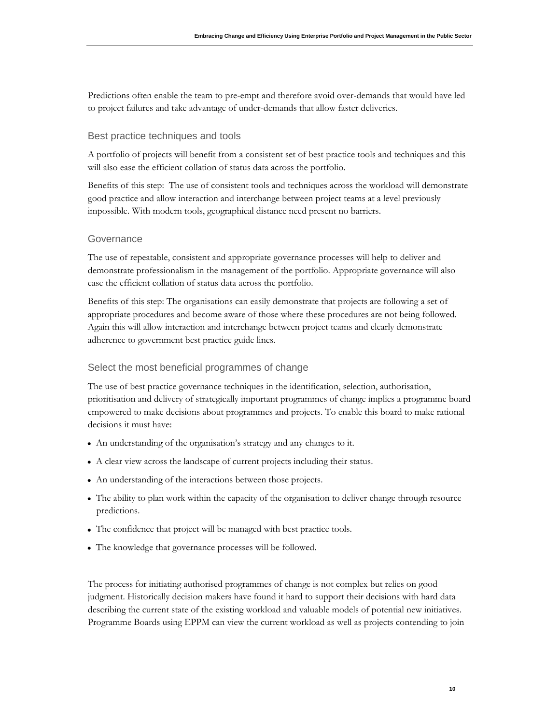Predictions often enable the team to pre-empt and therefore avoid over-demands that would have led to project failures and take advantage of under-demands that allow faster deliveries.

#### Best practice techniques and tools

A portfolio of projects will benefit from a consistent set of best practice tools and techniques and this will also ease the efficient collation of status data across the portfolio.

Benefits of this step: The use of consistent tools and techniques across the workload will demonstrate good practice and allow interaction and interchange between project teams at a level previously impossible. With modern tools, geographical distance need present no barriers.

#### **Governance**

The use of repeatable, consistent and appropriate governance processes will help to deliver and demonstrate professionalism in the management of the portfolio. Appropriate governance will also ease the efficient collation of status data across the portfolio.

Benefits of this step: The organisations can easily demonstrate that projects are following a set of appropriate procedures and become aware of those where these procedures are not being followed. Again this will allow interaction and interchange between project teams and clearly demonstrate adherence to government best practice guide lines.

#### Select the most beneficial programmes of change

The use of best practice governance techniques in the identification, selection, authorisation, prioritisation and delivery of strategically important programmes of change implies a programme board empowered to make decisions about programmes and projects. To enable this board to make rational decisions it must have:

- An understanding of the organisation's strategy and any changes to it.
- A clear view across the landscape of current projects including their status.
- An understanding of the interactions between those projects.
- The ability to plan work within the capacity of the organisation to deliver change through resource predictions.
- The confidence that project will be managed with best practice tools.
- The knowledge that governance processes will be followed.

The process for initiating authorised programmes of change is not complex but relies on good judgment. Historically decision makers have found it hard to support their decisions with hard data describing the current state of the existing workload and valuable models of potential new initiatives. Programme Boards using EPPM can view the current workload as well as projects contending to join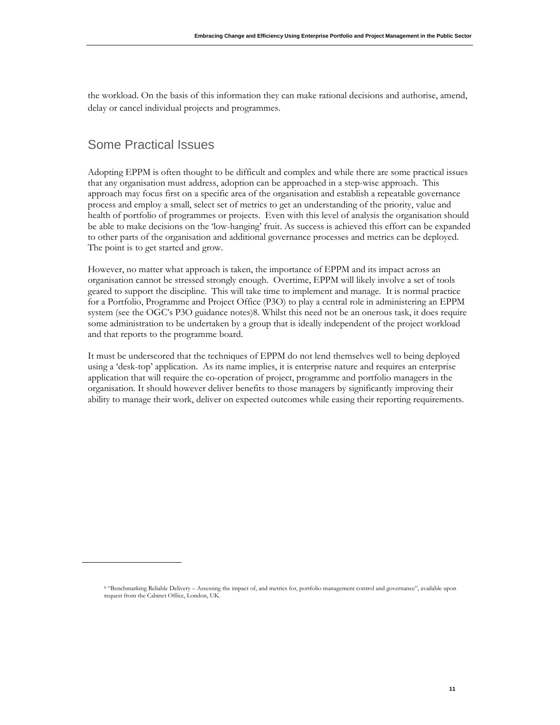the workload. On the basis of this information they can make rational decisions and authorise, amend, delay or cancel individual projects and programmes.

### Some Practical Issues

Adopting EPPM is often thought to be difficult and complex and while there are some practical issues that any organisation must address, adoption can be approached in a step-wise approach. This approach may focus first on a specific area of the organisation and establish a repeatable governance process and employ a small, select set of metrics to get an understanding of the priority, value and health of portfolio of programmes or projects. Even with this level of analysis the organisation should be able to make decisions on the "low-hanging" fruit. As success is achieved this effort can be expanded to other parts of the organisation and additional governance processes and metrics can be deployed. The point is to get started and grow.

However, no matter what approach is taken, the importance of EPPM and its impact across an organisation cannot be stressed strongly enough. Overtime, EPPM will likely involve a set of tools geared to support the discipline. This will take time to implement and manage. It is normal practice for a Portfolio, Programme and Project Office (P3O) to play a central role in administering an EPPM system (see the OGC's P3O guidance notes)8. Whilst this need not be an onerous task, it does require some administration to be undertaken by a group that is ideally independent of the project workload and that reports to the programme board.

It must be underscored that the techniques of EPPM do not lend themselves well to being deployed using a "desk-top" application. As its name implies, it is enterprise nature and requires an enterprise application that will require the co-operation of project, programme and portfolio managers in the organisation. It should however deliver benefits to those managers by significantly improving their ability to manage their work, deliver on expected outcomes while easing their reporting requirements.

<sup>8</sup> "Benchmarking Reliable Delivery – Assessing the impact of, and metrics for, portfolio management control and governance", available upon request from the Cabinet Office, London, UK.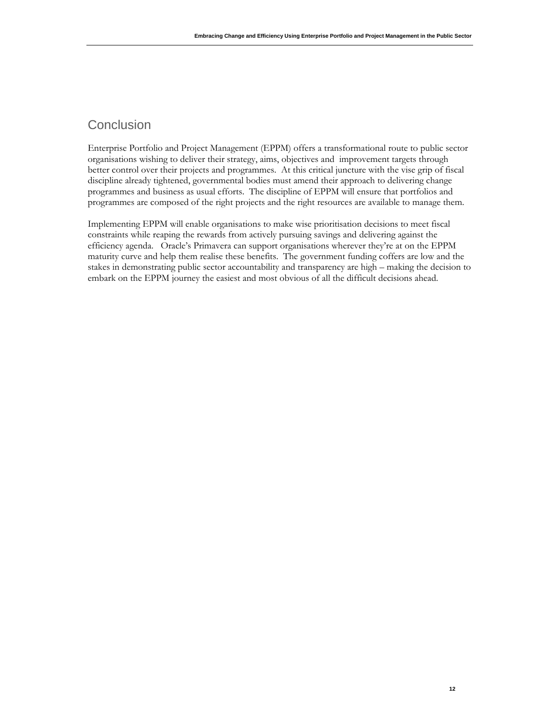### **Conclusion**

Enterprise Portfolio and Project Management (EPPM) offers a transformational route to public sector organisations wishing to deliver their strategy, aims, objectives and improvement targets through better control over their projects and programmes. At this critical juncture with the vise grip of fiscal discipline already tightened, governmental bodies must amend their approach to delivering change programmes and business as usual efforts. The discipline of EPPM will ensure that portfolios and programmes are composed of the right projects and the right resources are available to manage them.

Implementing EPPM will enable organisations to make wise prioritisation decisions to meet fiscal constraints while reaping the rewards from actively pursuing savings and delivering against the efficiency agenda. Oracle"s Primavera can support organisations wherever they"re at on the EPPM maturity curve and help them realise these benefits. The government funding coffers are low and the stakes in demonstrating public sector accountability and transparency are high – making the decision to embark on the EPPM journey the easiest and most obvious of all the difficult decisions ahead.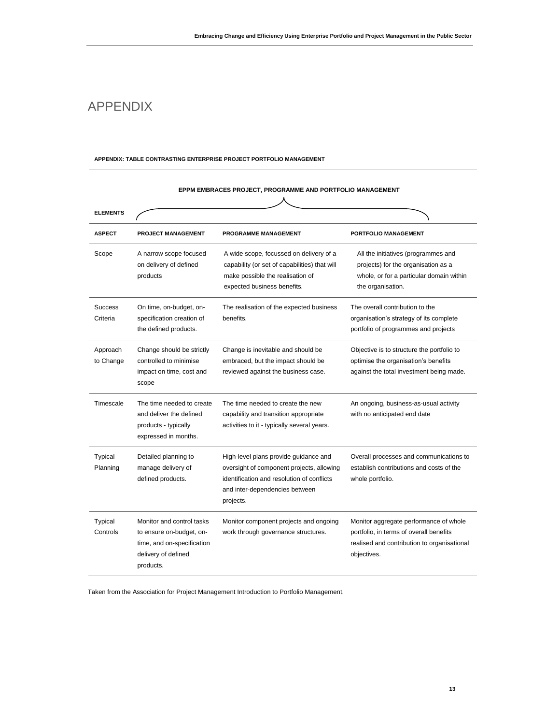### APPENDIX

#### **APPENDIX: TABLE CONTRASTING ENTERPRISE PROJECT PORTFOLIO MANAGEMENT**

| <b>ELEMENTS</b>            |                                                                                                                         |                                                                                                                                                                                 |                                                                                                                                                 |
|----------------------------|-------------------------------------------------------------------------------------------------------------------------|---------------------------------------------------------------------------------------------------------------------------------------------------------------------------------|-------------------------------------------------------------------------------------------------------------------------------------------------|
| <b>ASPECT</b>              | <b>PROJECT MANAGEMENT</b>                                                                                               | <b>PROGRAMME MANAGEMENT</b>                                                                                                                                                     | PORTFOLIO MANAGEMENT                                                                                                                            |
| Scope                      | A narrow scope focused<br>on delivery of defined<br>products                                                            | A wide scope, focussed on delivery of a<br>capability (or set of capabilities) that will<br>make possible the realisation of<br>expected business benefits.                     | All the initiatives (programmes and<br>projects) for the organisation as a<br>whole, or for a particular domain within<br>the organisation.     |
| <b>Success</b><br>Criteria | On time, on-budget, on-<br>specification creation of<br>the defined products.                                           | The realisation of the expected business<br>benefits.                                                                                                                           | The overall contribution to the<br>organisation's strategy of its complete<br>portfolio of programmes and projects                              |
| Approach<br>to Change      | Change should be strictly<br>controlled to minimise<br>impact on time, cost and<br>scope                                | Change is inevitable and should be<br>embraced, but the impact should be<br>reviewed against the business case.                                                                 | Objective is to structure the portfolio to<br>optimise the organisation's benefits<br>against the total investment being made.                  |
| Timescale                  | The time needed to create<br>and deliver the defined<br>products - typically<br>expressed in months.                    | The time needed to create the new<br>capability and transition appropriate<br>activities to it - typically several years.                                                       | An ongoing, business-as-usual activity<br>with no anticipated end date                                                                          |
| Typical<br>Planning        | Detailed planning to<br>manage delivery of<br>defined products.                                                         | High-level plans provide guidance and<br>oversight of component projects, allowing<br>identification and resolution of conflicts<br>and inter-dependencies between<br>projects. | Overall processes and communications to<br>establish contributions and costs of the<br>whole portfolio.                                         |
| Typical<br>Controls        | Monitor and control tasks<br>to ensure on-budget, on-<br>time, and on-specification<br>delivery of defined<br>products. | Monitor component projects and ongoing<br>work through governance structures.                                                                                                   | Monitor aggregate performance of whole<br>portfolio, in terms of overall benefits<br>realised and contribution to organisational<br>objectives. |

#### **EPPM EMBRACES PROJECT, PROGRAMME AND PORTFOLIO MANAGEMENT**

Taken from the Association for Project Management Introduction to Portfolio Management.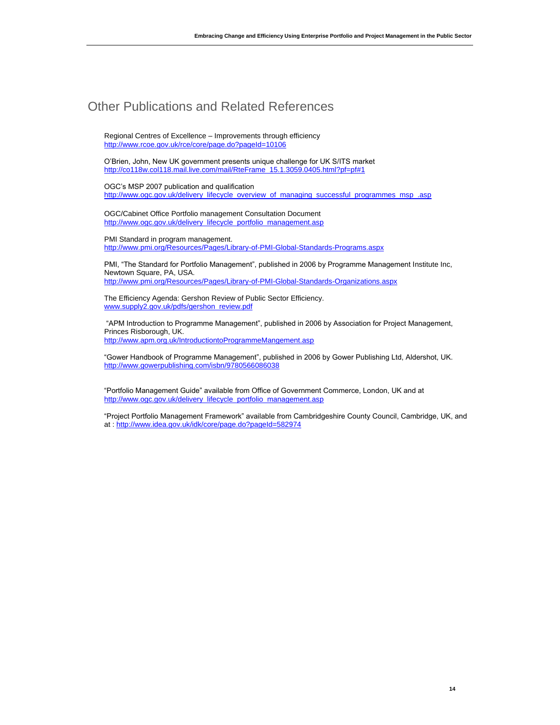### Other Publications and Related References

Regional Centres of Excellence – Improvements through efficiency <http://www.rcoe.gov.uk/rce/core/page.do?pageId=10106>

O'Brien, John, New UK government presents unique challenge for UK S/ITS market [http://co118w.col118.mail.live.com/mail/RteFrame\\_15.1.3059.0405.html?pf=pf#1](http://co118w.col118.mail.live.com/mail/RteFrame_15.1.3059.0405.html?pf=pf#1)

OGC's MSP 2007 publication and qualification [http://www.ogc.gov.uk/delivery\\_lifecycle\\_overview\\_of\\_managing\\_successful\\_programmes\\_msp\\_.asp](http://www.ogc.gov.uk/delivery_lifecycle_overview_of_managing_successful_programmes_msp_.asp)

OGC/Cabinet Office Portfolio management Consultation Document [http://www.ogc.gov.uk/delivery\\_lifecycle\\_portfolio\\_management.asp](http://www.ogc.gov.uk/delivery_lifecycle_portfolio_management.asp)

PMI Standard in program management. <http://www.pmi.org/Resources/Pages/Library-of-PMI-Global-Standards-Programs.aspx>

PMI, "The Standard for Portfolio Management", published in 2006 by Programme Management Institute Inc, Newtown Square, PA, USA. <http://www.pmi.org/Resources/Pages/Library-of-PMI-Global-Standards-Organizations.aspx>

The Efficiency Agenda: Gershon Review of Public Sector Efficiency. [www.supply2.gov.uk/pdfs/gershon\\_review.pdf](http://www.supply2.gov.uk/pdfs/gershon_review.pdf)

"APM Introduction to Programme Management", published in 2006 by Association for Project Management, Princes Risborough, UK. <http://www.apm.org.uk/IntroductiontoProgrammeMangement.asp>

"Gower Handbook of Programme Management", published in 2006 by Gower Publishing Ltd, Aldershot, UK. <http://www.gowerpublishing.com/isbn/9780566086038>

"Portfolio Management Guide" available from Office of Government Commerce, London, UK and at [http://www.ogc.gov.uk/delivery\\_lifecycle\\_portfolio\\_management.asp](http://www.ogc.gov.uk/delivery_lifecycle_portfolio_management.asp)

"Project Portfolio Management Framework" available from Cambridgeshire County Council, Cambridge, UK, and at [: http://www.idea.gov.uk/idk/core/page.do?pageId=582974](http://www.idea.gov.uk/idk/core/page.do?pageId=582974)